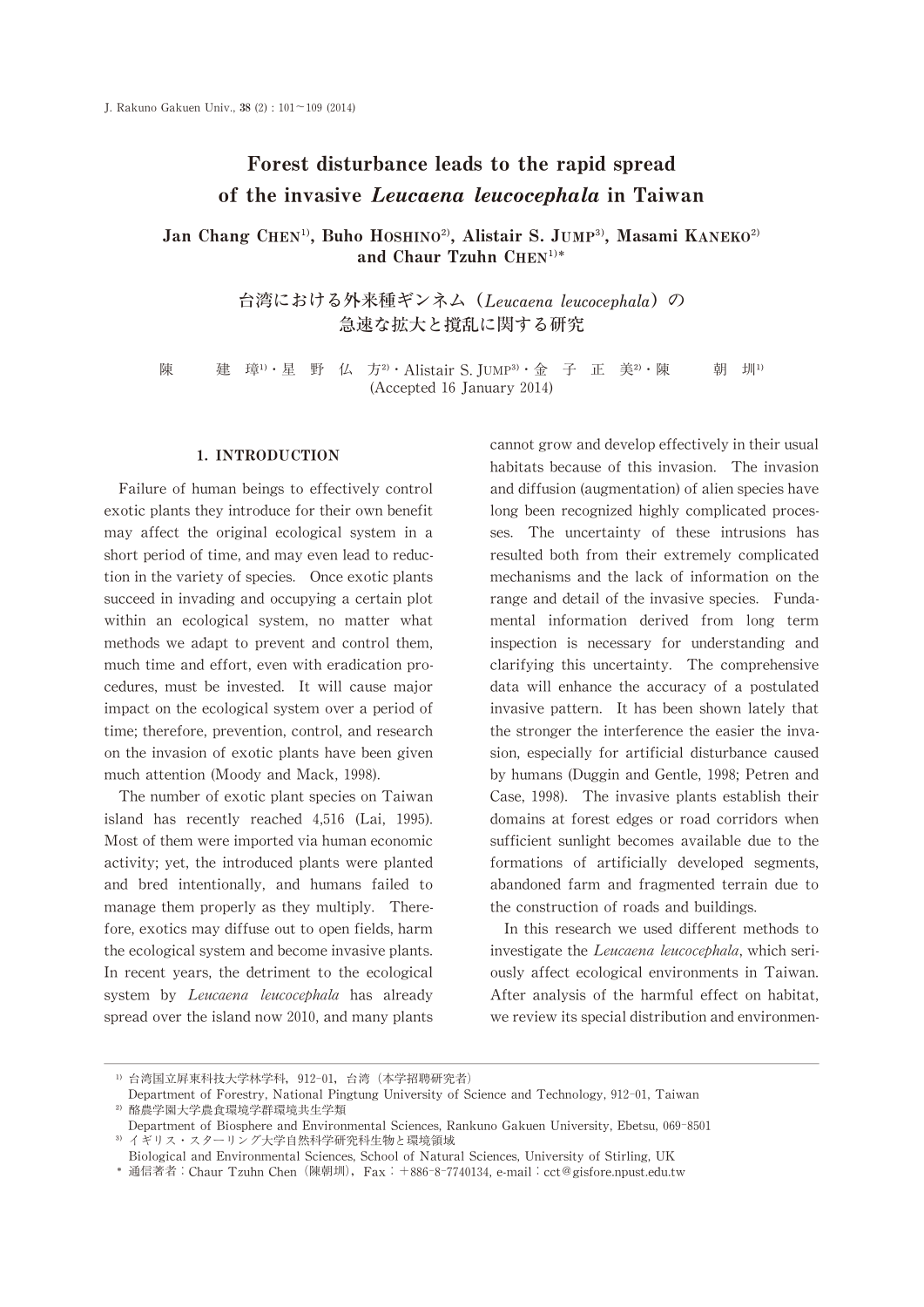# Forest disturbance leads to the rapid spread of the invasive Leucaena leucocephala in Taiwan

Jan Chang CHEN<sup>1)</sup>, Buho HOSHINO<sup>2)</sup>, Alistair S. JUMP<sup>3</sup>), Masami KANEKO<sup>2)</sup> and Chaur Tzuhn  $CHEN<sup>1</sup>$ \*

> 台湾における外来種ギンネム (Leucaena leucocephala)の 急速な拡大と撹乱に関する研究

陳 建璋<sup>1</sup>,星野仏方<sup>2</sup>, Alistair S. JUMP<sup>3</sup>, 金子正美<sup>2</sup>,陳 朝 圳1) (Accepted 16 January 2014)

## 1.INTRODUCTION

Failure of human beings to effectively control exotic plants they introduce for their own benefit may affect the original ecological system in a short period of time, and may even lead to reduction in the variety of species. Once exotic plants succeed in invading and occupying a certain plot within an ecological system, no matter what methods we adapt to prevent and control them, much time and effort, even with eradication procedures, must be invested. It will cause major impact on the ecological system over a period of time; therefore, prevention, control, and research on the invasion of exotic plants have been given much attention (Moody and Mack, 1998).

The number of exotic plant species on Taiwan island has recently reached 4,516 (Lai,1995). Most of them were imported via human economic activity; yet, the introduced plants were planted and bred intentionally, and humans failed to manage them properly as they multiply. Therefore, exotics may diffuse out to open fields, harm the ecological system and become invasive plants. In recent years, the detriment to the ecological system by Leucaena leucocephala has already spread over the island now 2010, and many plants cannot grow and develop effectively in their usual habitats because of this invasion. The invasion and diffusion (augmentation) of alien species have long been recognized highly complicated processes. The uncertainty of these intrusions has resulted both from their extremely complicated mechanisms and the lack of information on the range and detail of the invasive species. Fundamental information derived from long term inspection is necessary for understanding and clarifying this uncertainty. The comprehensive data will enhance the accuracy of a postulated invasive pattern. It has been shown lately that the stronger the interference the easier the invasion, especially for artificial disturbance caused by humans (Duggin and Gentle, 1998; Petren and Case,1998). The invasive plants establish their domains at forest edges or road corridors when sufficient sunlight becomes available due to the formations of artificially developed segments, abandoned farm and fragmented terrain due to the construction of roads and buildings.

In this research we used different methods to investigate the Leucaena leucocephala, which seriously affect ecological environments in Taiwan. After analysis of the harmful effect on habitat, we review its special distribution and environmen-

웋웗台湾国立屛東科技大学林学科,912-01,台湾(本学招聘研究者)

Department of Forestry, National Pingtung University of Science and Technology, 912-01, Taiwan 워웗酪農学園大学農食環境学群環境共生学類

Department of Biosphere and Environmental Sciences, Rankuno Gakuen University, Ebetsu, 069-8501 3) イギリス・スターリング大学自然科学研究科生物と環境領域

Biological and Environmental Sciences, School of Natural Sciences, University of Stirling, UK

웬通信著者:Chaur Tzuhn Chen(陳朝圳),Fax:+886-8-7740134,e-mail:cct@gisfore.npust.edu.tw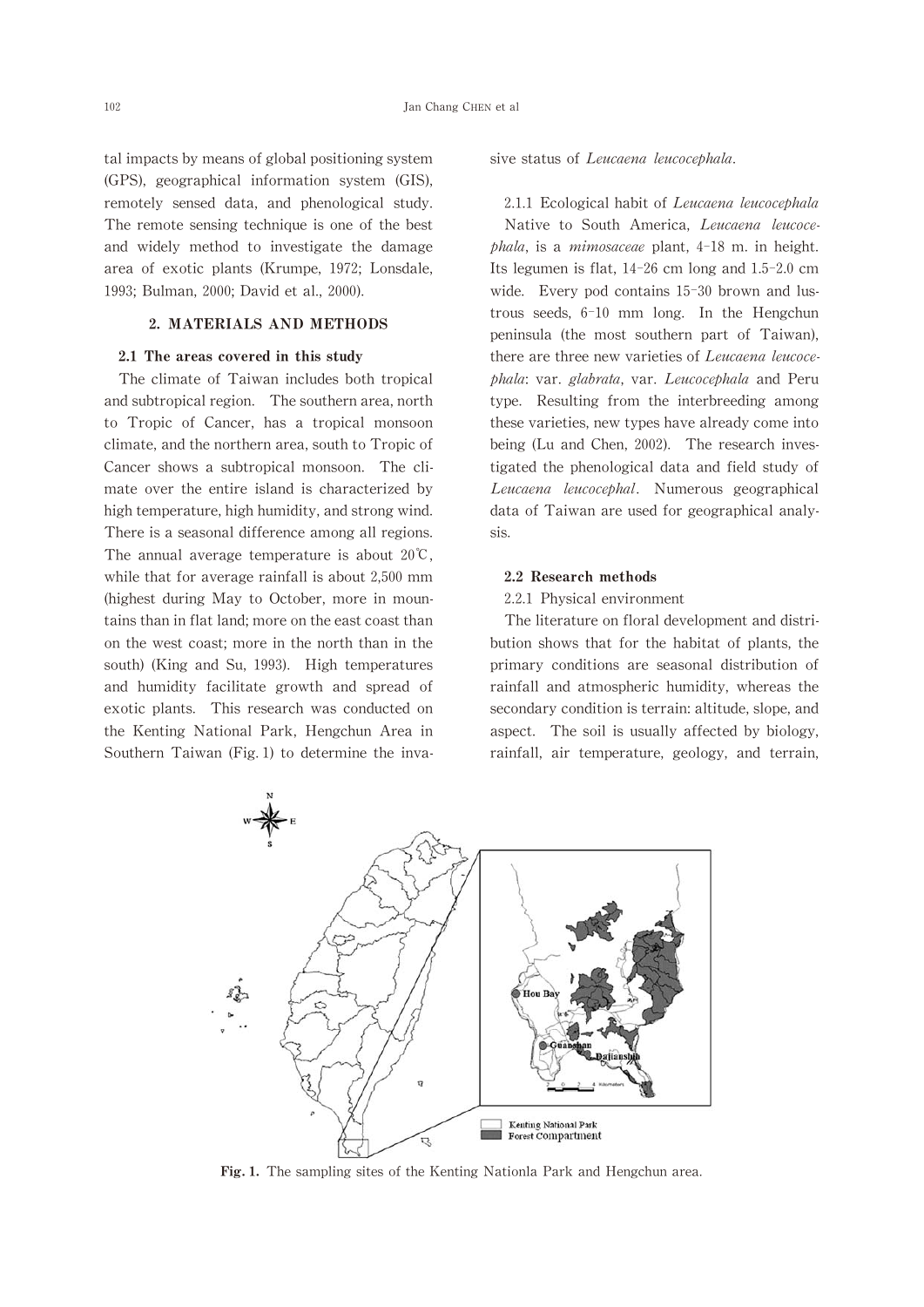tal impacts by means of global positioning system (GPS),geographical information system (GIS), remotely sensed data, and phenological study. The remote sensing technique is one of the best and widely method to investigate the damage area of exotic plants (Krumpe, 1972; Lonsdale, 1993; Bulman, 2000; David et al., 2000).

## 2.MATERIALS AND METHODS

#### 2.1 The areas covered in this study

The climate of Taiwan includes both tropical and subtropical region. The southern area, north to Tropic of Cancer, has a tropical monsoon climate, and the northern area, south to Tropic of Cancer shows a subtropical monsoon. The climate over the entire island is characterized by high temperature, high humidity, and strong wind. There is a seasonal difference among all regions. The annual average temperature is about 20℃, while that for average rainfall is about 2,500 mm (highest during May to October, more in mountains than in flat land; more on the east coast than on the west coast; more in the north than in the south) (King and Su, 1993). High temperatures and humidity facilitate growth and spread of exotic plants. This research was conducted on the Kenting National Park, Hengchun Area in Southern Taiwan (Fig. 1) to determine the invasive status of Leucaena leucocephala.

2.1.1 Ecological habit of Leucaena leucocephala Native to South America, Leucaena leucoce $phala$ , is a mimosaceae plant,  $4-18$  m. in height. Its legumen is flat,  $14-26$  cm long and  $1.5-2.0$  cm wide. Every pod contains 15-30 brown and lustrous seeds,  $6-10$  mm long. In the Hengchun peninsula (the most southern part of Taiwan), there are three new varieties of Leucaena leucocephala: var. glabrata, var. Leucocephala and Peru type. Resulting from the interbreeding among these varieties, new types have already come into being (Lu and Chen, 2002). The research investigated the phenological data and field study of Leucaena leucocephal. Numerous geographical data of Taiwan are used for geographical analysis.

#### 2.2 Research methods

#### 2.2.1 Physical environment

The literature on floral development and distribution shows that for the habitat of plants, the primary conditions are seasonal distribution of rainfall and atmospheric humidity, whereas the secondary condition is terrain: altitude, slope, and aspect. The soil is usually affected by biology, rainfall, air temperature, geology, and terrain,



Fig. 1. The sampling sites of the Kenting Nationla Park and Hengchun area.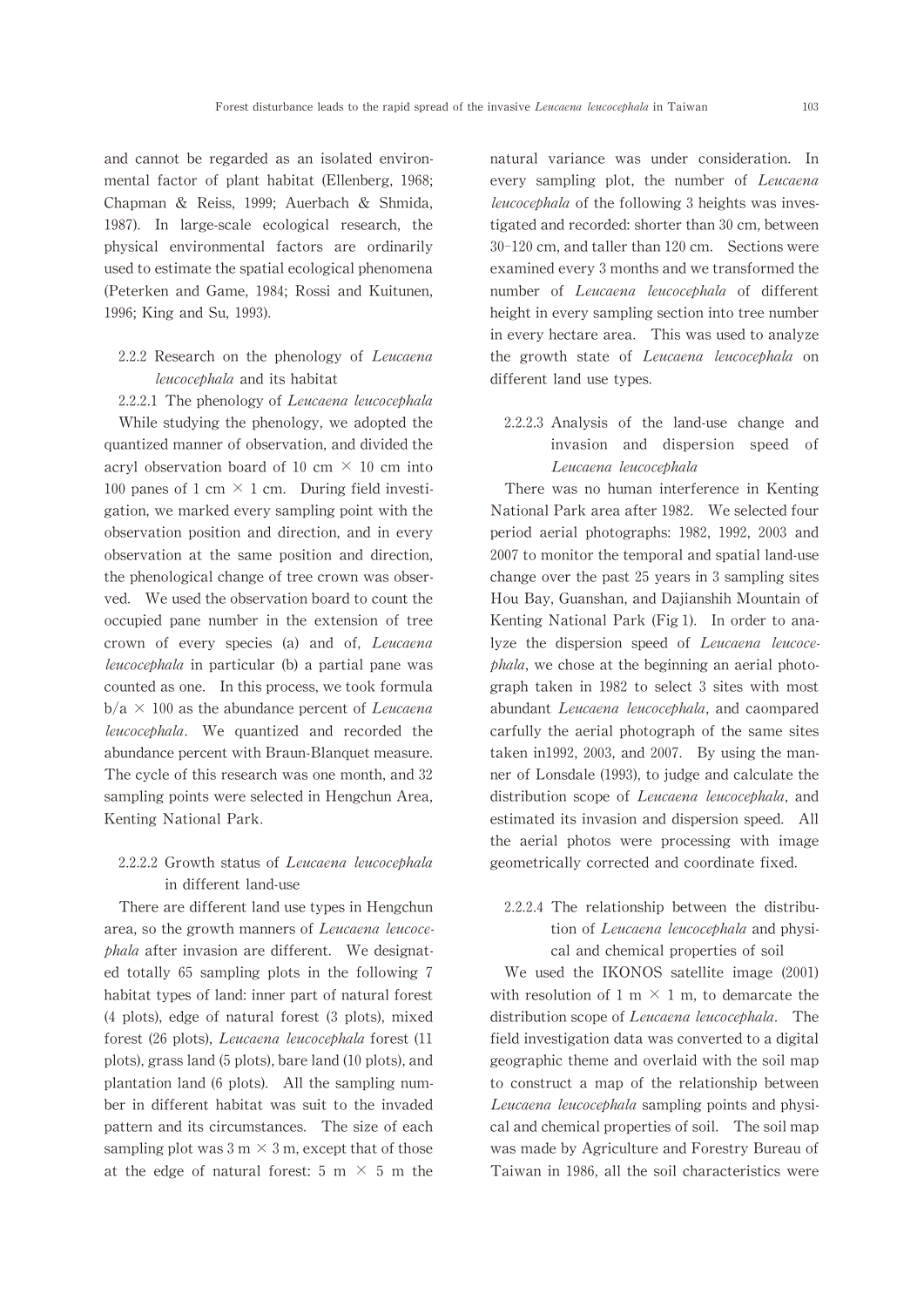and cannot be regarded as an isolated environmental factor of plant habitat (Ellenberg, 1968; Chapman & Reiss, 1999; Auerbach & Shmida, 1987). In large-scale ecological research, the physical environmental factors are ordinarily used to estimate the spatial ecological phenomena (Peterken and Game, 1984; Rossi and Kuitunen, 1996; King and Su, 1993).

# $2.2.2$  Research on the phenology of *Leucaena* leucocephala and its habitat

 $2.2.2.1$  The phenology of Leucaena leucocephala While studying the phenology, we adopted the quantized manner of observation, and divided the acryl observation board of 10 cm  $\times$  10 cm into 100 panes of 1 cm  $\times$  1 cm. During field investigation,we marked every sampling point with the observation position and direction, and in every observation at the same position and direction, the phenological change of tree crown was observed. We used the observation board to count the occupied pane number in the extension of tree crown of every species (a) and of, Leucaena leucocephala in particular (b) a partial pane was counted as one. In this process, we took formula  $b/a \times 100$  as the abundance percent of Leucaena leucocephala. We quantized and recorded the abundance percent with Braun-Blanquet measure. The cycle of this research was one month, and 32 sampling points were selected in Hengchun Area, Kenting National Park.

# $2.2.2.2$  Growth status of Leucaena leucocephala in different land-use

There are different land use types in Hengchun area, so the growth manners of Leucaena leucocephala after invasion are different. We designated totally 65 sampling plots in the following 7 habitat types of land: inner part of natural forest  $(4$  plots), edge of natural forest  $(3$  plots), mixed forest (26 plots), Leucaena leucocephala forest (11 plots), grass land (5 plots), bare land (10 plots), and plantation land(6 plots). All the sampling number in different habitat was suit to the invaded pattern and its circumstances. The size of each sampling plot was 3 m  $\times$  3 m, except that of those at the edge of natural forest: 5 m  $\times$  5 m the natural variance was under consideration. In every sampling plot, the number of Leucaena leucocephala of the following 3 heights was investigated and recorded: shorter than 30 cm, between 30-120 cm, and taller than 120 cm. Sections were examined every 3 months and we transformed the number of Leucaena leucocephala of different height in every sampling section into tree number in every hectare area. This was used to analyze the growth state of Leucaena leucocephala on different land use types.

2.2.2.3 Analysis of the land-use change and invasion and dispersion speed of Leucaena leucocephala

There was no human interference in Kenting National Park area after 1982. We selected four period aerial photographs: 1982, 1992, 2003 and 2007 to monitor the temporal and spatial land-use change over the past 25 years in 3 sampling sites Hou Bay, Guanshan, and Dajianshih Mountain of Kenting National Park(Fig 1). In order to analyze the dispersion speed of Leucaena leucoce $phala$ , we chose at the beginning an aerial photograph taken in 1982 to select 3 sites with most abundant Leucaena leucocephala, and caompared carfully the aerial photograph of the same sites taken in1992, 2003, and 2007. By using the manner of Lonsdale (1993), to judge and calculate the distribution scope of Leucaena leucocephala, and estimated its invasion and dispersion speed. All the aerial photos were processing with image geometrically corrected and coordinate fixed.

# 2.2.2.4 The relationship between the distribu tion of *Leucaena leucocephala* and physical and chemical properties of soil

We used the IKONOS satellite image (2001) with resolution of 1 m  $\times$  1 m, to demarcate the distribution scope of Leucaena leucocephala. The field investigation data was converted to a digital geographic theme and overlaid with the soil map to construct a map of the relationship between Leucaena leucocephala sampling points and physical and chemical properties of soil. The soil map was made by Agriculture and Forestry Bureau of Taiwan in 1986, all the soil characteristics were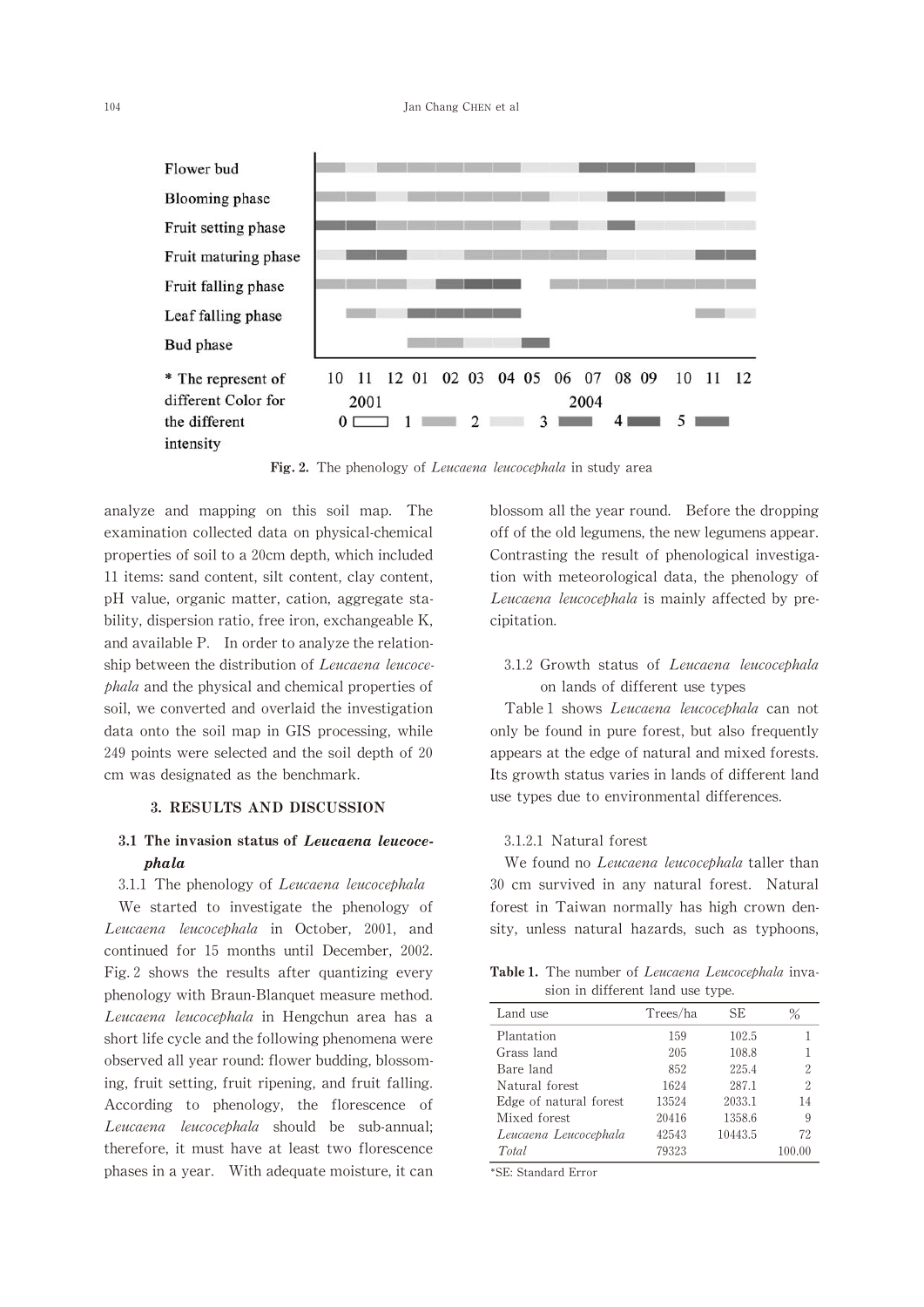

Fig. 2. The phenology of Leucaena leucocephala in study area

analyze and mapping on this soil map. The examination collected data on physical-chemical properties of soil to a 20cm depth, which included 11 items: sand content, silt content, clay content, pH value, organic matter, cation, aggregate stability, dispersion ratio, free iron, exchangeable K, and available P. In order to analyze the relationship between the distribution of Leucaena leucocephala and the physical and chemical properties of soil, we converted and overlaid the investigation data onto the soil map in GIS processing, while 249 points were selected and the soil depth of 20 cm was designated as the benchmark.

### 3.RESULTS AND DISCUSSION

# 3.1 The invasion status of Leucaena leucocephala

3.1.1 The phenology of Leucaena leucocephala

We started to investigate the phenology of Leucaena leucocephala in October, 2001, and continued for 15 months until December, 2002. Fig.2 shows the results after quantizing every phenology with Braun-Blanquet measure method. Leucaena leucocephala in Hengchun area has a short life cycle and the following phenomena were observed all year round: flower budding, blossoming, fruit setting, fruit ripening, and fruit falling. According to phenology, the florescence of Leucaena leucocephala should be sub-annual; therefore, it must have at least two florescence phases in a year. With adequate moisture, it can blossom all the year round. Before the dropping off of the old legumens, the new legumens appear. Contrasting the result of phenological investigation with meteorological data, the phenology of Leucaena leucocephala is mainly affected by precipitation.

# 3.1.2 Growth status of Leucaena leucocephala on lands of different use types

Table 1 shows Leucaena leucocephala can not only be found in pure forest, but also frequently appears at the edge of natural and mixed forests. Its growth status varies in lands of different land use types due to environmental differences.

## 3.1.2.1 Natural forest

We found no *Leucaena leucocephala* taller than 30 cm survived in any natural forest. Natural forest in Taiwan normally has high crown density, unless natural hazards, such as typhoons,

Table 1. The number of Leucaena Leucocephala invasion in different land use type.

| Land use               | Trees/ha | <b>SE</b> | ℅  |
|------------------------|----------|-----------|----|
| Plantation             | 159      | 102.5     | 1  |
| Grass land             | 205      | 108.8     |    |
| Bare land              | 852      | 225.4     | 2  |
| Natural forest         | 1624     | 287.1     | 2  |
| Edge of natural forest | 13524    | 2033.1    | 14 |
| Mixed forest           | 20416    | 1358.6    | 9  |
| Leucaena Leucocephala  | 42543    | 10443.5   | 72 |
| Total                  | 79323    |           |    |

\*SE: Standard Error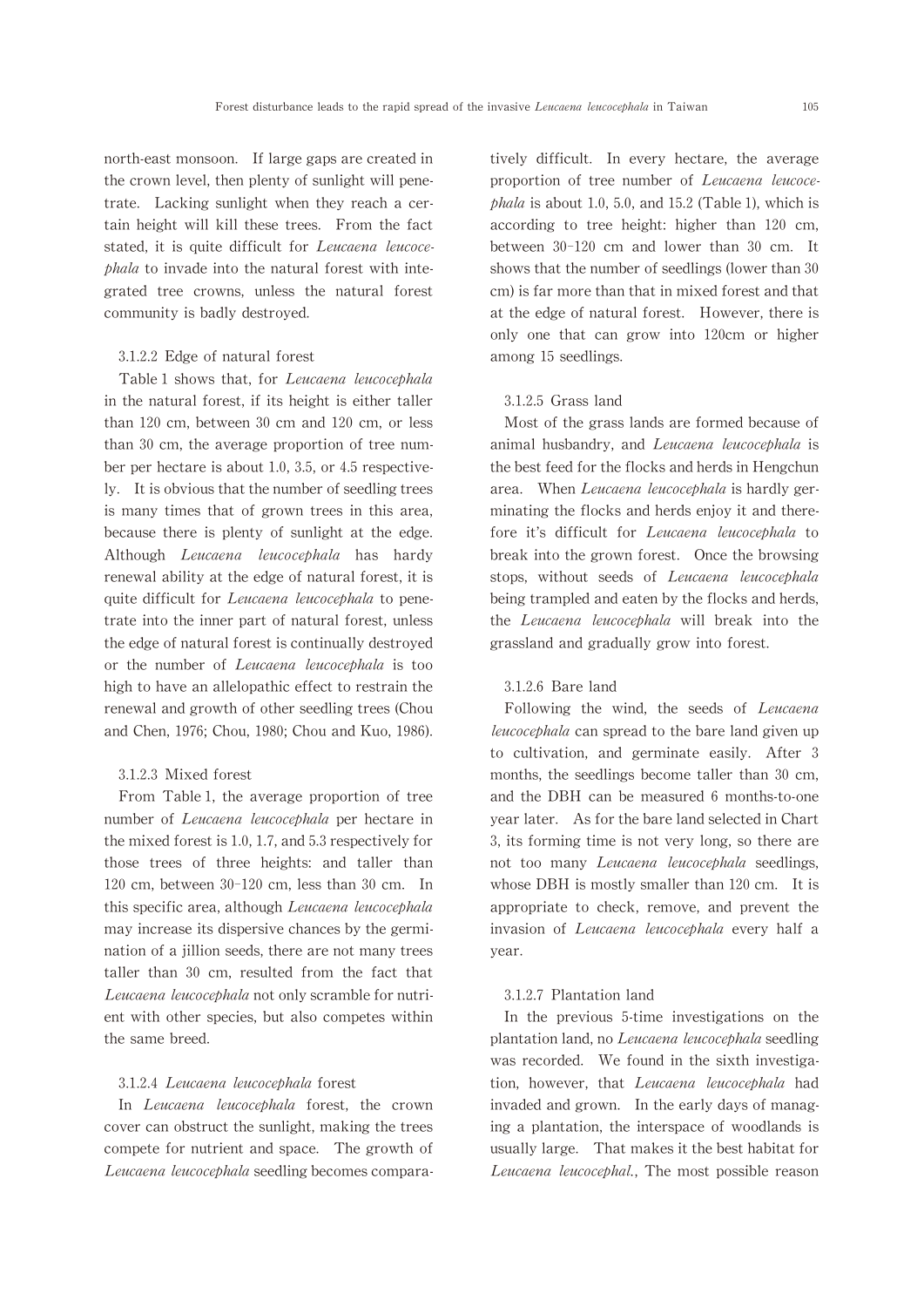north-east monsoon. If large gaps are created in the crown level, then plenty of sunlight will penetrate. Lacking sunlight when they reach a certain height will kill these trees. From the fact stated, it is quite difficult for Leucaena leucocephala to invade into the natural forest with integrated tree crowns,unless the natural forest community is badly destroyed.

#### 3.1.2.2 Edge of natural forest

Table 1 shows that, for Leucaena leucocephala in the natural forest, if its height is either taller than  $120 \text{ cm}$ , between  $30 \text{ cm}$  and  $120 \text{ cm}$ , or less than  $30$  cm, the average proportion of tree number per hectare is about 1.0, 3.5, or 4.5 respectively. It is obvious that the number of seedling trees is many times that of grown trees in this area, because there is plenty of sunlight at the edge. Although Leucaena leucocephala has hardy renewal ability at the edge of natural forest, it is quite difficult for Leucaena leucocephala to penetrate into the inner part of natural forest, unless the edge of natural forest is continually destroyed or the number of Leucaena leucocephala is too high to have an allelopathic effect to restrain the renewal and growth of other seedling trees(Chou and Chen, 1976; Chou, 1980; Chou and Kuo, 1986).

#### 3.1.2.3 Mixed forest

From Table 1, the average proportion of tree number of Leucaena leucocephala per hectare in the mixed forest is 1.0, 1.7, and 5.3 respectively for those trees of three heights: and taller than 120 cm, between  $30-120$  cm, less than 30 cm. In this specific area, although Leucaena leucocephala may increase its dispersive chances by the germination of a jillion seeds, there are not many trees taller than 30 cm, resulted from the fact that Leucaena leucocephala not only scramble for nutrient with other species, but also competes within the same breed.

#### 3.1.2.4Leucaena leucocephala forest

In Leucaena leucocephala forest, the crown cover can obstruct the sunlight, making the trees compete for nutrient and space. The growth of Leucaena leucocephala seedling becomes comparatively difficult. In every hectare, the average proportion of tree number of Leucaena leucoce $phala$  is about 1.0, 5.0, and 15.2 (Table 1), which is according to tree height: higher than 120 cm, between 30-120 cm and lower than 30 cm. It shows that the number of seedlings (lower than 30 cm)is far more than that in mixed forest and that at the edge of natural forest. However, there is only one that can grow into 120cm or higher among 15 seedlings.

## 3.1.2.5 Grass land

Most of the grass lands are formed because of animal husbandry, and Leucaena leucocephala is the best feed for the flocks and herds in Hengchun area. When Leucaena leucocephala is hardly germinating the flocks and herds enjoy it and therefore it's difficult for Leucaena leucocephala to break into the grown forest. Once the browsing stops, without seeds of Leucaena leucocephala being trampled and eaten by the flocks and herds, the Leucaena leucocephala will break into the grassland and gradually grow into forest.

#### 3.1.2.6 Bare land

Following the wind, the seeds of *Leucaena* leucocephala can spread to the bare land given up to cultivation, and germinate easily. After 3 months, the seedlings become taller than 30 cm, and the DBH can be measured 6 months-to-one year later. As for the bare land selected in Chart 3, its forming time is not very long, so there are not too many Leucaena leucocephala seedlings, whose DBH is mostly smaller than 120 cm. It is appropriate to check, remove, and prevent the invasion of Leucaena leucocephala every half a year.

#### 3.1.2.7 Plantation land

In the previous 5-time investigations on the plantation land, no Leucaena leucocephala seedling was recorded. We found in the sixth investigation, however, that Leucaena leucocephala had invaded and grown. In the early days of managing a plantation, the interspace of woodlands is usually large. That makes it the best habitat for Leucaena leucocephal., The most possible reason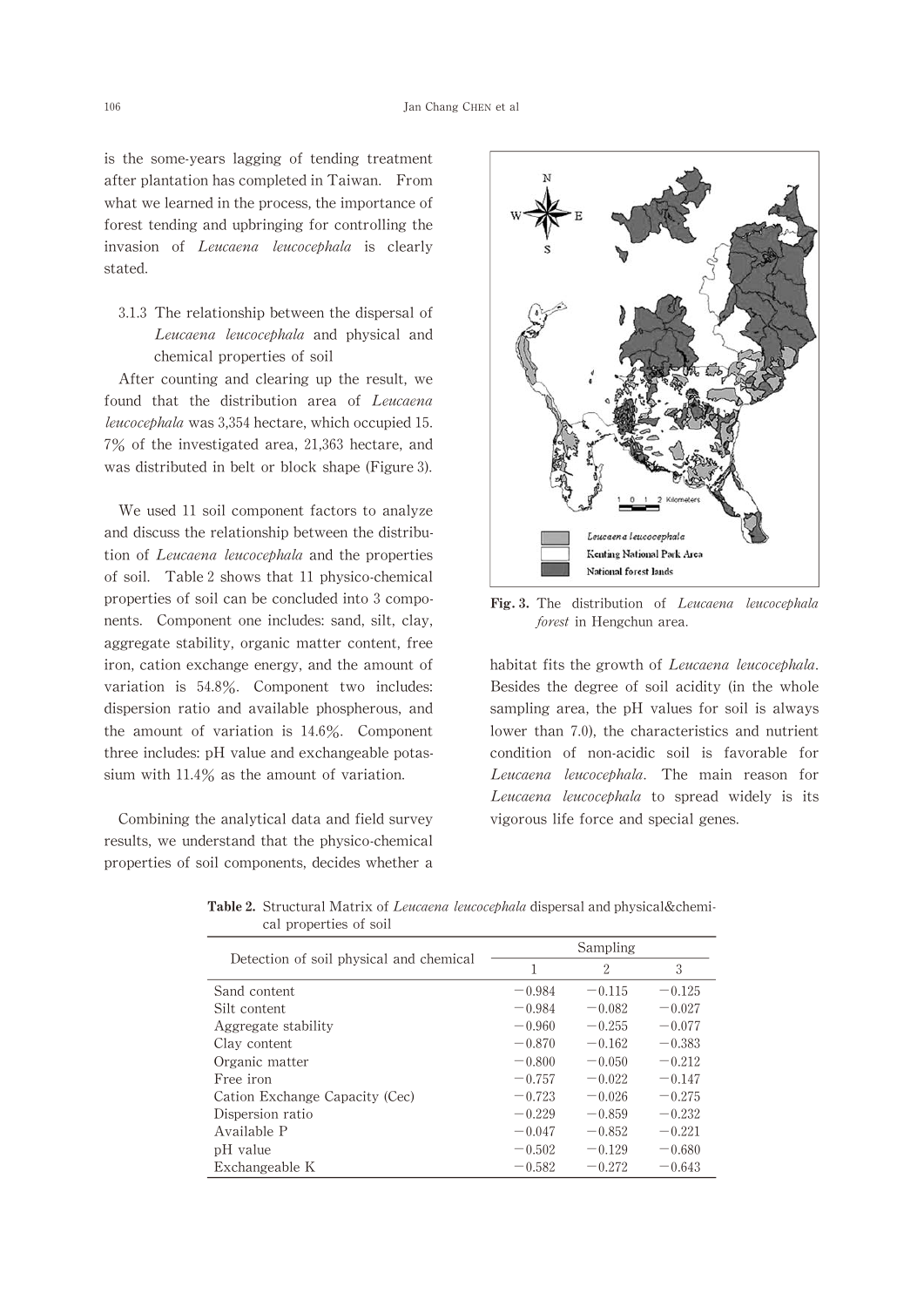is the some-years lagging of tending treatment after plantation has completed in Taiwan. From what we learned in the process, the importance of forest tending and upbringing for controlling the invasion of Leucaena leucocephala is clearly stated.

3.1.3 The relationship between the dispersal of Leucaena leucocephala and physical and chemical properties of soil

After counting and clearing up the result, we found that the distribution area of Leucaena leucocephala was 3,354 hectare, which occupied 15.  $7\%$  of the investigated area, 21,363 hectare, and was distributed in belt or block shape(Figure 3).

We used 11 soil component factors to analyze and discuss the relationship between the distribution of *Leucaena leucocephala* and the properties of soil. Table 2 shows that 11 physico-chemical properties of soil can be concluded into 3 components. Component one includes: sand, silt, clay, aggregate stability, organic matter content, free iron, cation exchange energy, and the amount of variation is 54.8%. Component two includes: dispersion ratio and available phospherous, and the amount of variation is 14.6%. Component three includes: pH value and exchangeable potassium with 11.4% as the amount of variation.

Combining the analytical data and field survey results, we understand that the physico-chemical properties of soil components, decides whether a



Fig. 3. The distribution of Leucaena leucocephala forest in Hengchun area.

habitat fits the growth of Leucaena leucocephala. Besides the degree of soil acidity (in the whole sampling area, the pH values for soil is always lower than 7.0), the characteristics and nutrient condition of non-acidic soil is favorable for Leucaena leucocephala. The main reason for Leucaena leucocephala to spread widely is its vigorous life force and special genes.

|                                         | Sampling |          |          |  |  |  |
|-----------------------------------------|----------|----------|----------|--|--|--|
| Detection of soil physical and chemical | 1        | 2        | 3        |  |  |  |
| Sand content                            | $-0.984$ | $-0.115$ | $-0.125$ |  |  |  |
| Silt content                            | $-0.984$ | $-0.082$ | $-0.027$ |  |  |  |
| Aggregate stability                     | $-0.960$ | $-0.255$ | $-0.077$ |  |  |  |
| Clay content                            | $-0.870$ | $-0.162$ | $-0.383$ |  |  |  |
| Organic matter                          | $-0.800$ | $-0.050$ | $-0.212$ |  |  |  |
| Free iron                               | $-0.757$ | $-0.022$ | $-0.147$ |  |  |  |
| Cation Exchange Capacity (Cec)          | $-0.723$ | $-0.026$ | $-0.275$ |  |  |  |
| Dispersion ratio                        | $-0.229$ | $-0.859$ | $-0.232$ |  |  |  |
| Available P                             | $-0.047$ | $-0.852$ | $-0.221$ |  |  |  |
| pH value                                | $-0.502$ | $-0.129$ | $-0.680$ |  |  |  |
| Exchangeable K                          | $-0.582$ | $-0.272$ | $-0.643$ |  |  |  |

Table 2. Structural Matrix of Leucaena leucocephala dispersal and physical&chemical properties of soil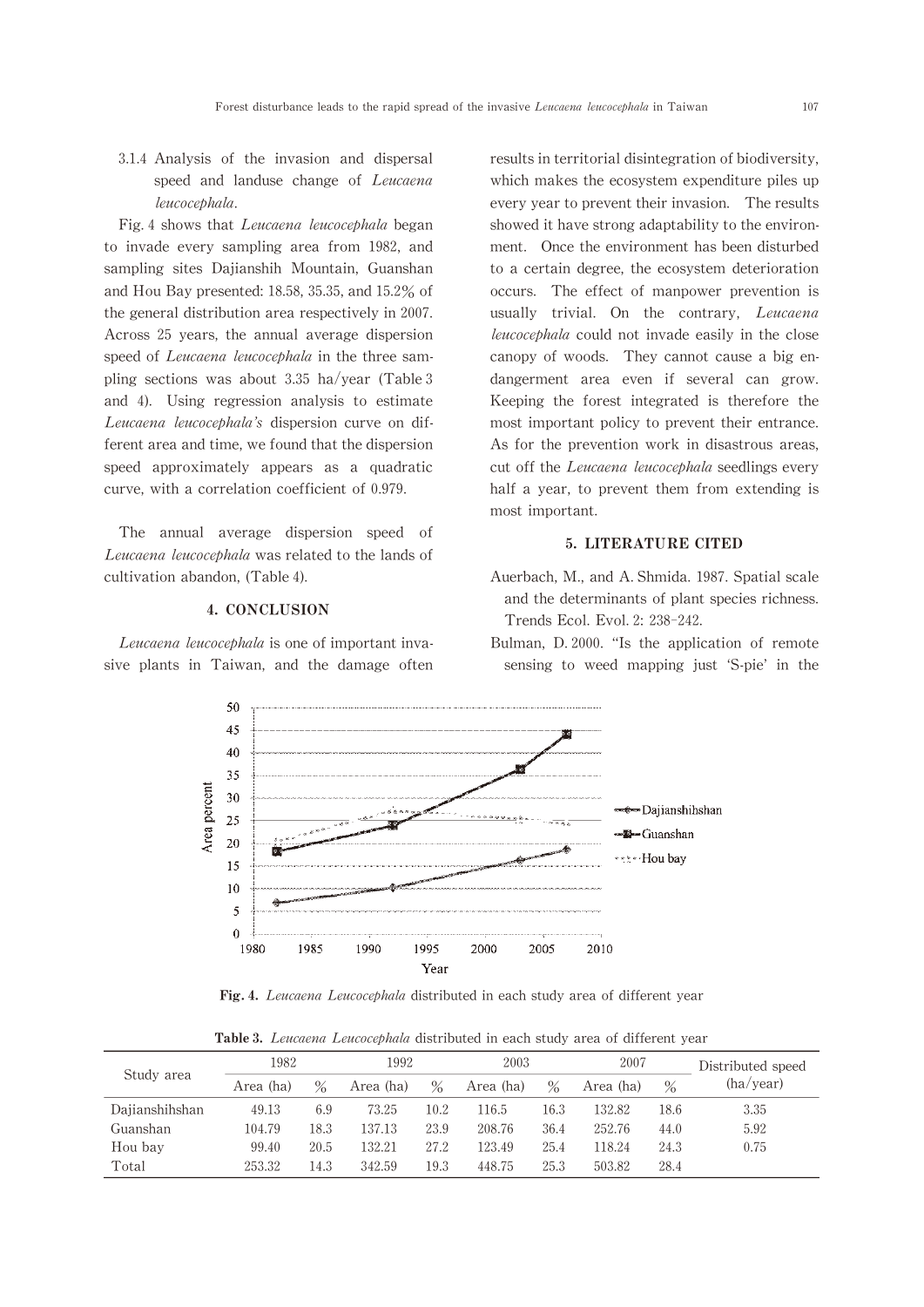3.1.4 Analysis of the invasion and dispersal speed and landuse change of Leucaena leucocephala.

Fig. 4 shows that Leucaena leucocephala began to invade every sampling area from 1982, and sampling sites Dajianshih Mountain, Guanshan and Hou Bay presented:18.58,35.35,and 15.2% of the general distribution area respectively in 2007. Across 25 years, the annual average dispersion speed of Leucaena leucocephala in the three sampling sections was about 3.35 ha/year (Table 3) and 4). Using regression analysis to estimate Leucaena leucocephala's dispersion curve on different area and time, we found that the dispersion speed approximately appears as a quadratic curve, with a correlation coefficient of 0.979.

The annual average dispersion speed of Leucaena leucocephala was related to the lands of cultivation abandon,(Table 4).

## 4.CONCLUSION

Leucaena leucocephala is one of important invasive plants in Taiwan, and the damage often results in territorial disintegration of biodiversity, which makes the ecosystem expenditure piles up every year to prevent their invasion. The results showed it have strong adaptability to the environment. Once the environment has been disturbed to a certain degree, the ecosystem deterioration occurs. The effect of manpower prevention is usually trivial. On the contrary, Leucaena leucocephala could not invade easily in the close canopy of woods. They cannot cause a big endangerment area even if several can grow. Keeping the forest integrated is therefore the most important policy to prevent their entrance. As for the prevention work in disastrous areas, cut off the Leucaena leucocephala seedlings every half a year, to prevent them from extending is most important.

## 5.LITERATURE CITED

- Auerbach, M., and A. Shmida. 1987. Spatial scale and the determinants of plant species richness. Trends Ecol. Evol. 2: 238-242.
- Bulman, D. 2000. "Is the application of remote sensing to weed mapping just 'S-pie' in the



Fig. 4. Leucaena Leucocephala distributed in each study area of different year

Table 3. Leucaena Leucocephala distributed in each study area of different year

| Study area     | 1982      |      | 1992      |      | 2003      |      | 2007      |      | Distributed speed |  |
|----------------|-----------|------|-----------|------|-----------|------|-----------|------|-------------------|--|
|                | Area (ha) | $\%$ | Area (ha) | $\%$ | Area (ha) | $\%$ | Area (ha) | $\%$ | (ha/year)         |  |
| Dajianshihshan | 49.13     | 6.9  | 73.25     | 10.2 | 116.5     | 16.3 | 132.82    | 18.6 | 3.35              |  |
| Guanshan       | 104.79    | 18.3 | 137.13    | 23.9 | 208.76    | 36.4 | 252.76    | 44.0 | 5.92              |  |
| Hou bay        | 99.40     | 20.5 | 132.21    | 27.2 | 123.49    | 25.4 | 118.24    | 24.3 | 0.75              |  |
| Total          | 253.32    | 14.3 | 342.59    | 19.3 | 448.75    | 25.3 | 503.82    | 28.4 |                   |  |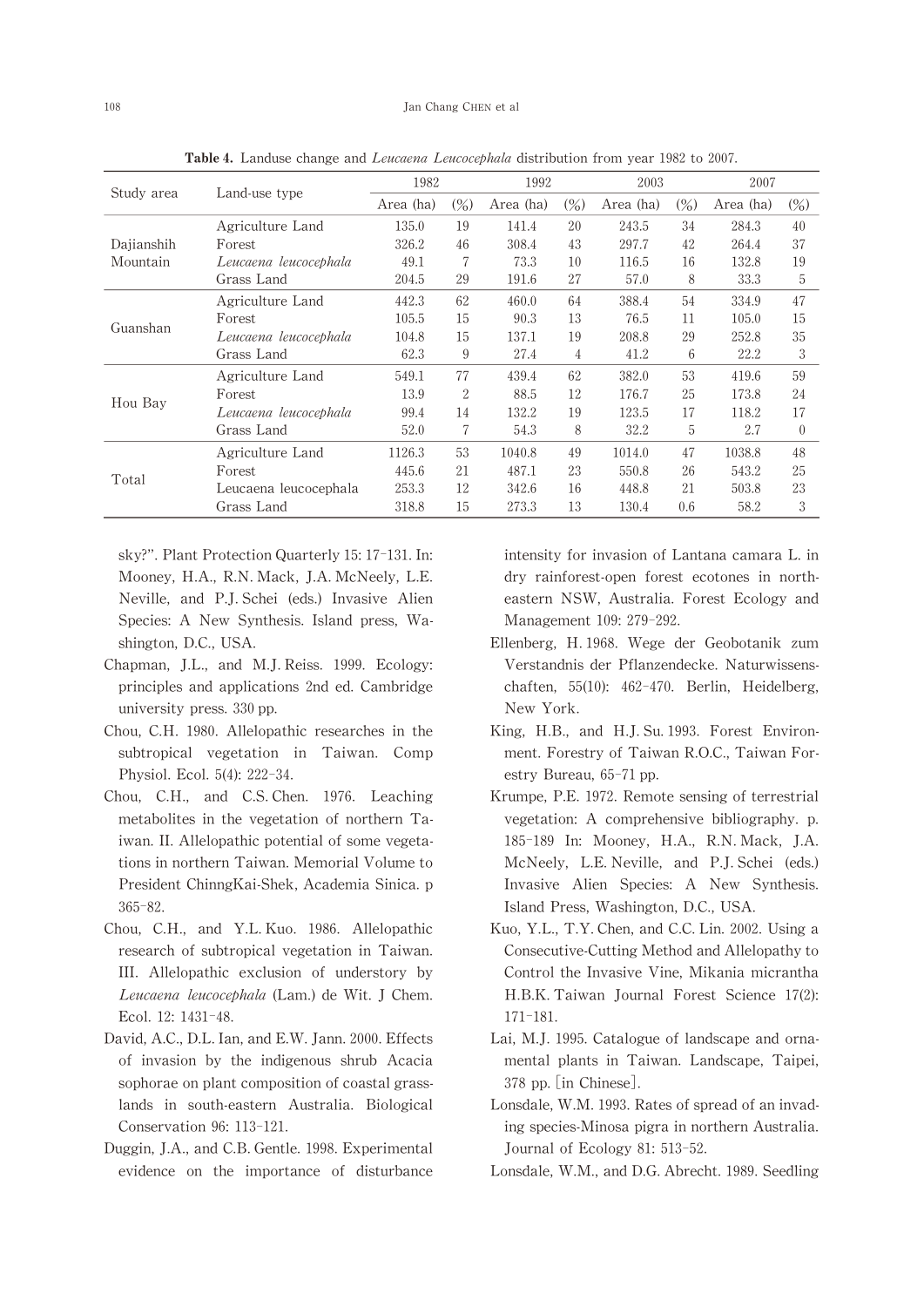|                        | Land-use type         | 1982      |        | 1992      |        | 2003      |        | 2007      |                   |
|------------------------|-----------------------|-----------|--------|-----------|--------|-----------|--------|-----------|-------------------|
| Study area             |                       | Area (ha) | $(\%)$ | Area (ha) | $(\%)$ | Area (ha) | $(\%)$ | Area (ha) | $\left(\%\right)$ |
| Dajianshih<br>Mountain | Agriculture Land      | 135.0     | 19     | 141.4     | 20     | 243.5     | 34     | 284.3     | 40                |
|                        | Forest                | 326.2     | 46     | 308.4     | 43     | 297.7     | 42     | 264.4     | 37                |
|                        | Leucaena leucocephala | 49.1      | 7      | 73.3      | 10     | 116.5     | 16     | 132.8     | 19                |
|                        | Grass Land            | 204.5     | 29     | 191.6     | 27     | 57.0      | 8      | 33.3      | 5                 |
| Guanshan               | Agriculture Land      | 442.3     | 62     | 460.0     | 64     | 388.4     | 54     | 334.9     | 47                |
|                        | Forest                | 105.5     | 15     | 90.3      | 13     | 76.5      | 11     | 105.0     | 15                |
|                        | Leucaena leucocephala | 104.8     | 15     | 137.1     | 19     | 208.8     | 29     | 252.8     | 35                |
|                        | Grass Land            | 62.3      | 9      | 27.4      | 4      | 41.2      | 6      | 22.2      | 3                 |
|                        | Agriculture Land      | 549.1     | 77     | 439.4     | 62     | 382.0     | 53     | 419.6     | 59                |
| Hou Bay                | Forest                | 13.9      | 2      | 88.5      | 12     | 176.7     | 25     | 173.8     | 24                |
|                        | Leucaena leucocephala | 99.4      | 14     | 132.2     | 19     | 123.5     | 17     | 118.2     | 17                |
|                        | Grass Land            | 52.0      | 7      | 54.3      | 8      | 32.2      | 5      | 2.7       | $\theta$          |
| Total                  | Agriculture Land      | 1126.3    | 53     | 1040.8    | 49     | 1014.0    | 47     | 1038.8    | 48                |
|                        | Forest                | 445.6     | 21     | 487.1     | 23     | 550.8     | 26     | 543.2     | 25                |
|                        | Leucaena leucocephala | 253.3     | 12     | 342.6     | 16     | 448.8     | 21     | 503.8     | 23                |
|                        | Grass Land            | 318.8     | 15     | 273.3     | 13     | 130.4     | 0.6    | 58.2      | 3                 |

Table 4. Landuse change and *Leucaena Leucocephala* distribution from year 1982 to 2007.

sky?". Plant Protection Quarterly 15: 17-131. In: Mooney, H.A., R.N. Mack, J.A. McNeely, L.E. Neville, and P.J. Schei (eds.) Invasive Alien Species: A New Synthesis. Island press, Washington, D.C., USA.

- Chapman, J.L., and M.J.Reiss. 1999. Ecology: principles and applications 2nd ed.Cambridge university press.330 pp.
- Chou,C.H.1980.Allelopathic researches in the subtropical vegetation in Taiwan. Comp Physiol. Ecol. 5(4): 222-34.
- Chou, C.H., and C.S.Chen. 1976. Leaching metabolites in the vegetation of northern Taiwan.II.Allelopathic potential of some vegetations in northern Taiwan. Memorial Volume to President ChinngKai-Shek, Academia Sinica.p 365-82.
- Chou, C.H., and Y.L. Kuo. 1986. Allelopathic research of subtropical vegetation in Taiwan. III.Allelopathic exclusion of understory by Leucaena leucocephala (Lam.) de Wit. J Chem. Ecol.12:1431-48.
- David, A.C., D.L. Ian, and E.W. Jann. 2000. Effects of invasion by the indigenous shrub Acacia sophorae on plant composition of coastal grasslands in south-eastern Australia. Biological Conservation 96:113-121.
- Duggin, J.A., and C.B. Gentle. 1998. Experimental evidence on the importance of disturbance

intensity for invasion of Lantana camara L.in dry rainforest-open forest ecotones in northeastern NSW, Australia. Forest Ecology and Management 109:279-292.

- Ellenberg,H.1968.Wege der Geobotanik zum Verstandnis der Pflanzendecke. Naturwissenschaften, 55(10): 462-470. Berlin, Heidelberg, New York.
- King, H.B., and H.J. Su. 1993. Forest Environment. Forestry of Taiwan R.O.C., Taiwan Forestry Bureau,65-71 pp.
- Krumpe, P.E. 1972. Remote sensing of terrestrial vegetation: A comprehensive bibliography. p. 185-189 In: Mooney, H.A., R.N. Mack, J.A. McNeely, L.E. Neville, and P.J. Schei (eds.) Invasive Alien Species: A New Synthesis. Island Press, Washington, D.C., USA.
- Kuo, Y.L., T.Y. Chen, and C.C. Lin. 2002. Using a Consecutive-Cutting Method and Allelopathy to Control the Invasive Vine, Mikania micrantha H.B.K.Taiwan Journal Forest Science 17(2): 171-181.
- Lai, M.J. 1995. Catalogue of landscape and ornamental plants in Taiwan. Landscape, Taipei, 378 pp.[in Chinese].
- Lonsdale, W.M. 1993. Rates of spread of an invading species-Minosa pigra in northern Australia. Journal of Ecology 81: 513-52.
- Lonsdale, W.M., and D.G. Abrecht. 1989. Seedling